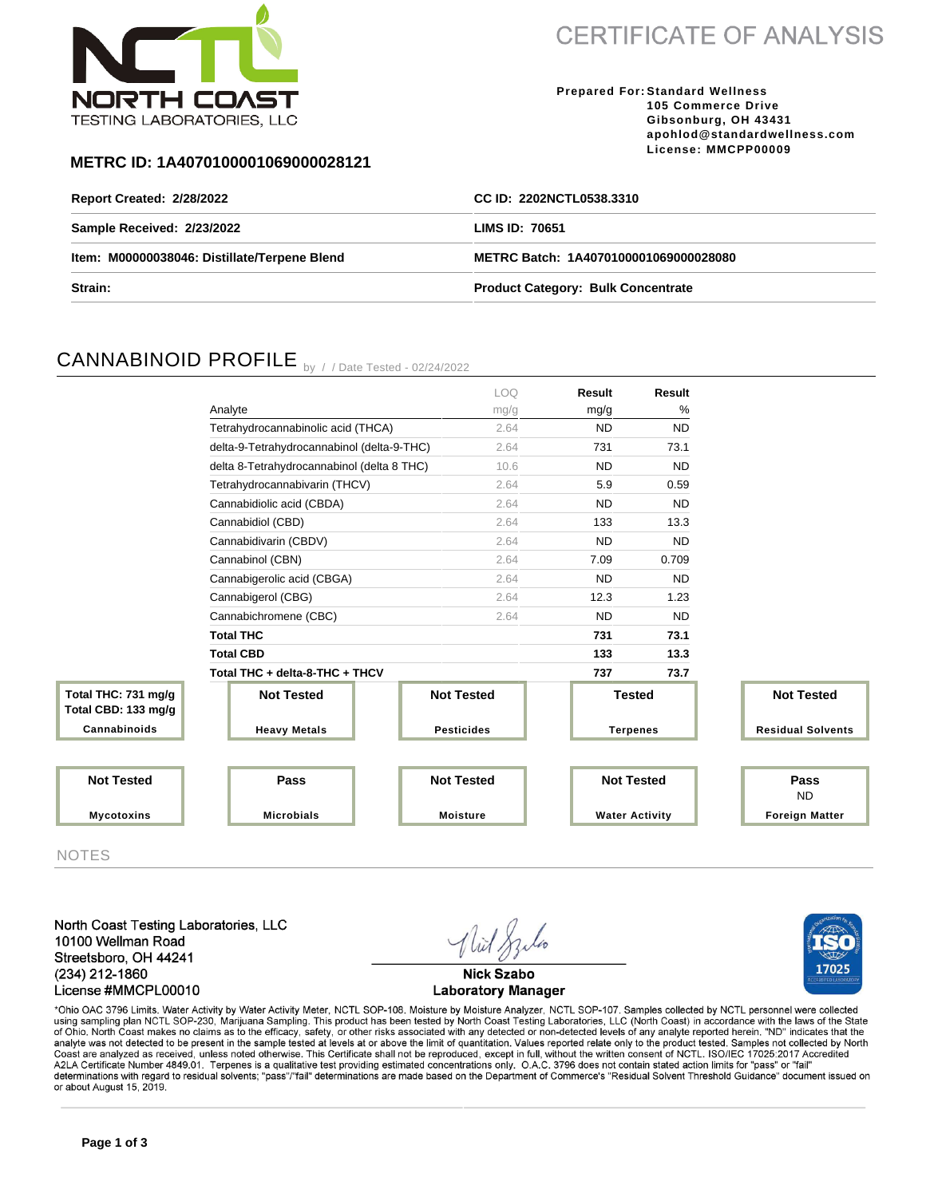

**CERTIFICATE OF ANALYSIS** 

**Prepared For: Standard Wellness 105 Commerce Drive Gibsonburg, OH 43431 apohlod@standardwellness.com License: MMCPP00009**

### **METRC ID: 1A4070100001069000028121**

| <b>Report Created: 2/28/2022</b>             | CC ID: 2202NCTL0538.3310                  |  |  |
|----------------------------------------------|-------------------------------------------|--|--|
| Sample Received: 2/23/2022                   | LIMS ID: 70651                            |  |  |
| Item: M00000038046: Distillate/Terpene Blend | METRC Batch: 1A4070100001069000028080     |  |  |
| Strain:                                      | <b>Product Category: Bulk Concentrate</b> |  |  |

# CANNABINOID PROFILE by //Date Tested - 02/24/2022

|                                            |                                            | LOQ.              | Result                | Result    |                          |
|--------------------------------------------|--------------------------------------------|-------------------|-----------------------|-----------|--------------------------|
|                                            | Analyte                                    | mg/g              | mg/g                  | %         |                          |
|                                            | Tetrahydrocannabinolic acid (THCA)         | 2.64              | <b>ND</b>             | <b>ND</b> |                          |
|                                            | delta-9-Tetrahydrocannabinol (delta-9-THC) | 2.64              | 731                   | 73.1      |                          |
|                                            | delta 8-Tetrahydrocannabinol (delta 8 THC) | 10.6              | <b>ND</b>             | <b>ND</b> |                          |
|                                            | Tetrahydrocannabivarin (THCV)              | 2.64              | 5.9                   | 0.59      |                          |
|                                            | Cannabidiolic acid (CBDA)                  | 2.64              | <b>ND</b>             | <b>ND</b> |                          |
|                                            | Cannabidiol (CBD)                          | 2.64              | 133                   | 13.3      |                          |
|                                            | Cannabidivarin (CBDV)                      | 2.64              | <b>ND</b>             | <b>ND</b> |                          |
|                                            | Cannabinol (CBN)                           | 2.64              | 7.09                  | 0.709     |                          |
|                                            | Cannabigerolic acid (CBGA)                 | 2.64              | <b>ND</b>             | <b>ND</b> |                          |
|                                            | Cannabigerol (CBG)                         | 2.64              | 12.3                  | 1.23      |                          |
|                                            | Cannabichromene (CBC)                      | 2.64              | <b>ND</b>             | <b>ND</b> |                          |
|                                            | <b>Total THC</b>                           |                   | 731                   | 73.1      |                          |
|                                            | <b>Total CBD</b>                           |                   | 133                   | 13.3      |                          |
|                                            | Total THC + delta-8-THC + THCV             |                   | 737                   | 73.7      |                          |
| Total THC: 731 mg/g<br>Total CBD: 133 mg/g | <b>Not Tested</b>                          | <b>Not Tested</b> | <b>Tested</b>         |           | <b>Not Tested</b>        |
| Cannabinoids                               | <b>Heavy Metals</b>                        | <b>Pesticides</b> | <b>Terpenes</b>       |           | <b>Residual Solvents</b> |
|                                            |                                            |                   |                       |           |                          |
| <b>Not Tested</b>                          | Pass                                       | <b>Not Tested</b> | <b>Not Tested</b>     |           | Pass<br><b>ND</b>        |
| <b>Mycotoxins</b>                          | <b>Microbials</b>                          | <b>Moisture</b>   | <b>Water Activity</b> |           | <b>Foreign Matter</b>    |

NOTES

North Coast Testing Laboratories, LLC 10100 Wellman Road Streetsboro, OH 44241 (234) 212-1860 License #MMCPL00010



17025

\*Ohio OAC 3796 Limits. Water Activity by Water Activity Meter, NCTL SOP-108. Moisture by Moisture Analyzer, NCTL SOP-107. Samples collected by NCTL personnel were collected using sampling plan NCTL SOP-230, Marijuana Sampling. This product has been tested by North Coast Testing Laboratories, LLC (North Coast) in accordance with the laws of the State<br>of Ohio. North Coast makes no claims as to Coast are analyzed as received, unless noted otherwise. This Certificate shall not be reproduced, except in full, without the written consent of NCTL. ISO/IEC 17025:2017 Accredited<br>A2LA Certificate Number 4849.01. Terpenes determinations with regard to residual solvents; "pass"/"fail" determinations are made based on the Department of Commerce's "Residual Solvent Threshold Guidance" document issued on or about August 15, 2019.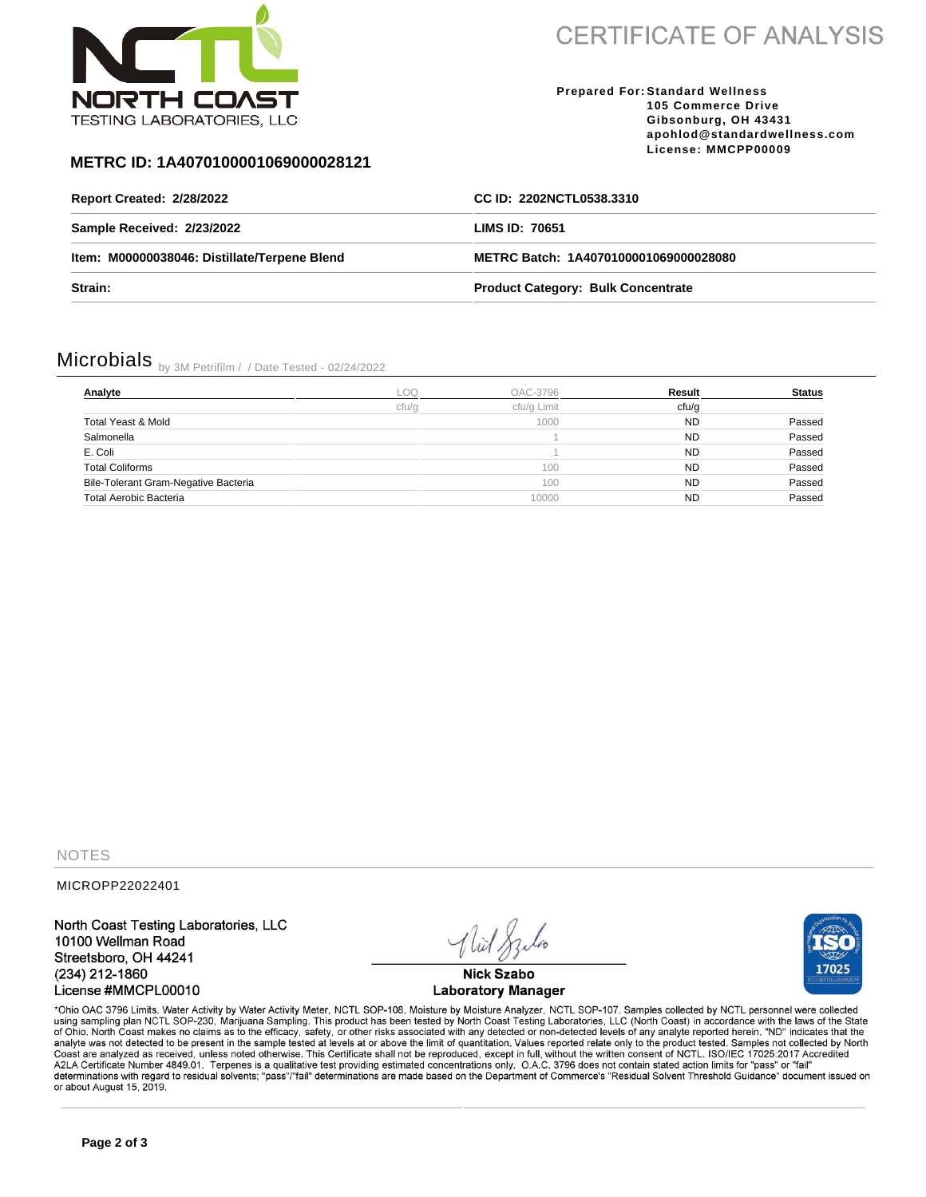

**CERTIFICATE OF ANALYSIS** 

#### **Prepared For: Standard Wellness 105 Commerce Drive Gibsonburg, OH 43431 apohlod@standardwellness.com License: MMCPP00009**

### **METRC ID: 1A4070100001069000028121**

| Report Created: 2/28/2022                    | CC ID: 2202NCTL0538.3310                  |  |
|----------------------------------------------|-------------------------------------------|--|
| Sample Received: 2/23/2022                   | LIMS ID: 70651                            |  |
| Item: M00000038046: Distillate/Terpene Blend | METRC Batch: 1A4070100001069000028080     |  |
| Strain:                                      | <b>Product Category: Bulk Concentrate</b> |  |

# Microbials by 3M Petrifilm / / Date Tested - 02/24/2022

| Analyte                              | LOQ   | OAC-3796    | Result    | <b>Status</b> |
|--------------------------------------|-------|-------------|-----------|---------------|
|                                      | cfu/g | cfu/g Limit | cfu/g     |               |
| Total Yeast & Mold                   |       | 1000        | <b>ND</b> | Passed        |
| Salmonella                           |       |             | <b>ND</b> | Passed        |
| E. Coli                              |       |             | <b>ND</b> | Passed        |
| <b>Total Coliforms</b>               |       | 100         | <b>ND</b> | Passed        |
| Bile-Tolerant Gram-Negative Bacteria |       | 100         | <b>ND</b> | Passed        |
| Total Aerobic Bacteria               |       | 10000       | <b>ND</b> | Passed        |

NOTES

MICROPP22022401

North Coast Testing Laboratories, LLC 10100 Wellman Road Streetsboro, OH 44241 (234) 212-1860 License #MMCPL00010

**Nick Szabo Laboratory Manager** 



\*Ohio OAC 3796 Limits. Water Activity by Water Activity Meter, NCTL SOP-108. Moisture by Moisture Analyzer, NCTL SOP-107. Samples collected by NCTL personnel were collected using sampling plan NCTL SOP-230, Marijuana Sampling. This product has been tested by North Coast Testing Laboratories, LLC (North Coast) in accordance with the laws of the State<br>of Ohio. North Coast makes no claims as to Coast are analyzed as received, unless noted otherwise. This Certificate shall not be reproduced, except in full, without the written consent of NCTL. ISO/IEC 17025:2017 Accredited<br>A2LA Certificate Number 4849.01. Terpenes determinations with regard to residual solvents; "pass"/"fail" determinations are made based on the Department of Commerce's "Residual Solvent Threshold Guidance" document issued on or about August 15, 2019.